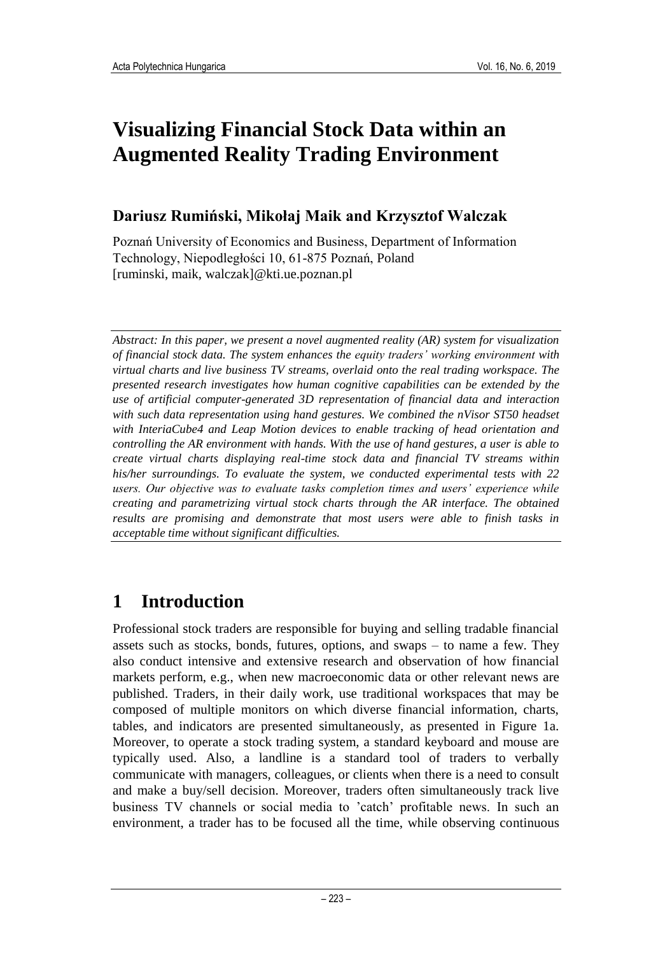# **Visualizing Financial Stock Data within an Augmented Reality Trading Environment**

### **Dariusz Rumiński, Mikołaj Maik and Krzysztof Walczak**

Poznań University of Economics and Business, Department of Information Technology, Niepodległości 10, 61-875 Poznań, Poland [ruminski, maik, walczak]@kti.ue.poznan.pl

*Abstract: In this paper, we present a novel augmented reality (AR) system for visualization of financial stock data. The system enhances the equity traders' working environment with virtual charts and live business TV streams, overlaid onto the real trading workspace. The presented research investigates how human cognitive capabilities can be extended by the use of artificial computer-generated 3D representation of financial data and interaction with such data representation using hand gestures. We combined the nVisor ST50 headset with InteriaCube4 and Leap Motion devices to enable tracking of head orientation and controlling the AR environment with hands. With the use of hand gestures, a user is able to create virtual charts displaying real-time stock data and financial TV streams within his/her surroundings. To evaluate the system, we conducted experimental tests with 22 users. Our objective was to evaluate tasks completion times and users' experience while creating and parametrizing virtual stock charts through the AR interface. The obtained results are promising and demonstrate that most users were able to finish tasks in acceptable time without significant difficulties.*

## **1 Introduction**

Professional stock traders are responsible for buying and selling tradable financial assets such as stocks, bonds, futures, options, and swaps – to name a few. They also conduct intensive and extensive research and observation of how financial markets perform, e.g., when new macroeconomic data or other relevant news are published. Traders, in their daily work, use traditional workspaces that may be composed of multiple monitors on which diverse financial information, charts, tables, and indicators are presented simultaneously, as presented in Figure 1a. Moreover, to operate a stock trading system, a standard keyboard and mouse are typically used. Also, a landline is a standard tool of traders to verbally communicate with managers, colleagues, or clients when there is a need to consult and make a buy/sell decision. Moreover, traders often simultaneously track live business TV channels or social media to 'catch' profitable news. In such an environment, a trader has to be focused all the time, while observing continuous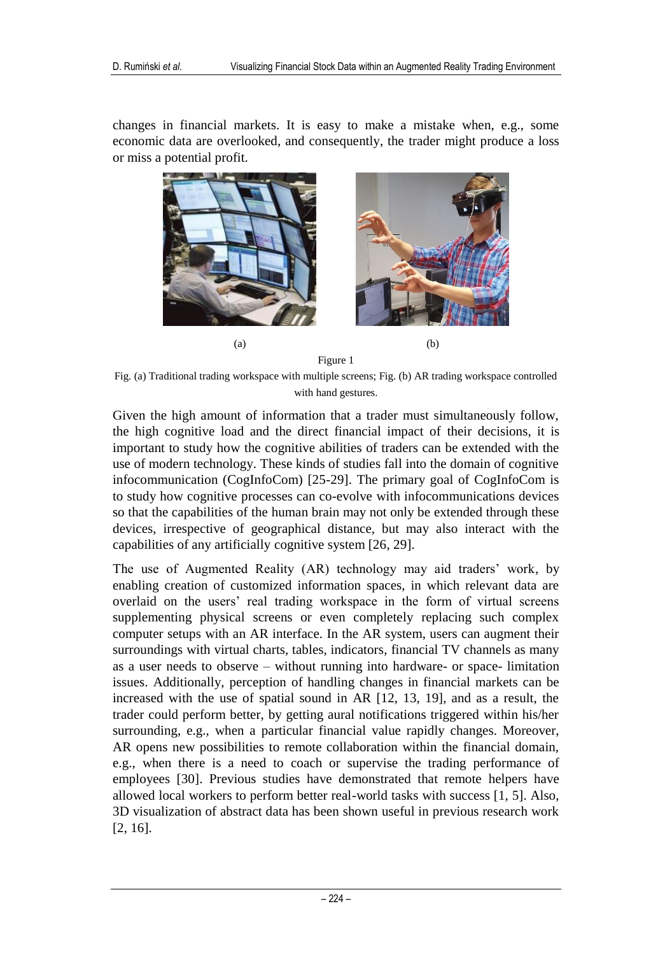changes in financial markets. It is easy to make a mistake when, e.g., some economic data are overlooked, and consequently, the trader might produce a loss or miss a potential profit.



Figure 1

Fig. (a) Traditional trading workspace with multiple screens; Fig. (b) AR trading workspace controlled with hand gestures.

Given the high amount of information that a trader must simultaneously follow, the high cognitive load and the direct financial impact of their decisions, it is important to study how the cognitive abilities of traders can be extended with the use of modern technology. These kinds of studies fall into the domain of cognitive infocommunication (CogInfoCom) [25-29]. The primary goal of CogInfoCom is to study how cognitive processes can co-evolve with infocommunications devices so that the capabilities of the human brain may not only be extended through these devices, irrespective of geographical distance, but may also interact with the capabilities of any artificially cognitive system [26, 29].

The use of Augmented Reality (AR) technology may aid traders' work, by enabling creation of customized information spaces, in which relevant data are overlaid on the users' real trading workspace in the form of virtual screens supplementing physical screens or even completely replacing such complex computer setups with an AR interface. In the AR system, users can augment their surroundings with virtual charts, tables, indicators, financial TV channels as many as a user needs to observe – without running into hardware- or space- limitation issues. Additionally, perception of handling changes in financial markets can be increased with the use of spatial sound in AR [12, 13, 19], and as a result, the trader could perform better, by getting aural notifications triggered within his/her surrounding, e.g., when a particular financial value rapidly changes. Moreover, AR opens new possibilities to remote collaboration within the financial domain, e.g., when there is a need to coach or supervise the trading performance of employees [30]. Previous studies have demonstrated that remote helpers have allowed local workers to perform better real-world tasks with success [1, 5]. Also, 3D visualization of abstract data has been shown useful in previous research work [2, 16].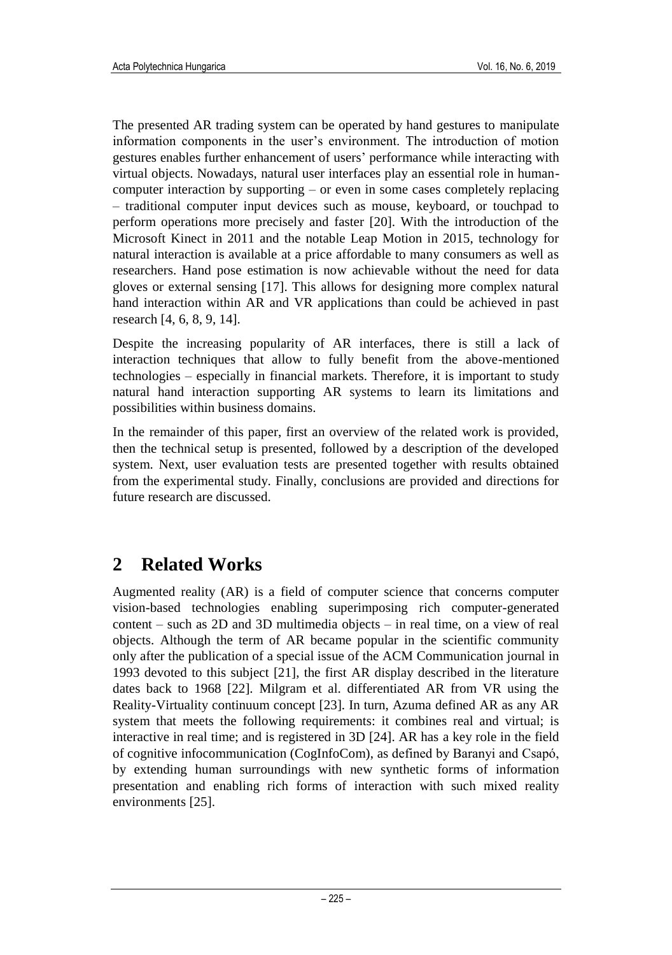The presented AR trading system can be operated by hand gestures to manipulate information components in the user's environment. The introduction of motion gestures enables further enhancement of users' performance while interacting with virtual objects. Nowadays, natural user interfaces play an essential role in humancomputer interaction by supporting – or even in some cases completely replacing – traditional computer input devices such as mouse, keyboard, or touchpad to perform operations more precisely and faster [20]. With the introduction of the Microsoft Kinect in 2011 and the notable Leap Motion in 2015, technology for natural interaction is available at a price affordable to many consumers as well as researchers. Hand pose estimation is now achievable without the need for data gloves or external sensing [17]. This allows for designing more complex natural hand interaction within AR and VR applications than could be achieved in past research [4, 6, 8, 9, 14].

Despite the increasing popularity of AR interfaces, there is still a lack of interaction techniques that allow to fully benefit from the above-mentioned technologies – especially in financial markets. Therefore, it is important to study natural hand interaction supporting AR systems to learn its limitations and possibilities within business domains.

In the remainder of this paper, first an overview of the related work is provided, then the technical setup is presented, followed by a description of the developed system. Next, user evaluation tests are presented together with results obtained from the experimental study. Finally, conclusions are provided and directions for future research are discussed.

### **2 Related Works**

Augmented reality (AR) is a field of computer science that concerns computer vision-based technologies enabling superimposing rich computer-generated content – such as 2D and 3D multimedia objects – in real time, on a view of real objects. Although the term of AR became popular in the scientific community only after the publication of a special issue of the ACM Communication journal in 1993 devoted to this subject [21], the first AR display described in the literature dates back to 1968 [22]. Milgram et al. differentiated AR from VR using the Reality-Virtuality continuum concept [23]. In turn, Azuma defined AR as any AR system that meets the following requirements: it combines real and virtual; is interactive in real time; and is registered in 3D [24]. AR has a key role in the field of cognitive infocommunication (CogInfoCom), as defined by Baranyi and Csapó, by extending human surroundings with new synthetic forms of information presentation and enabling rich forms of interaction with such mixed reality environments [25].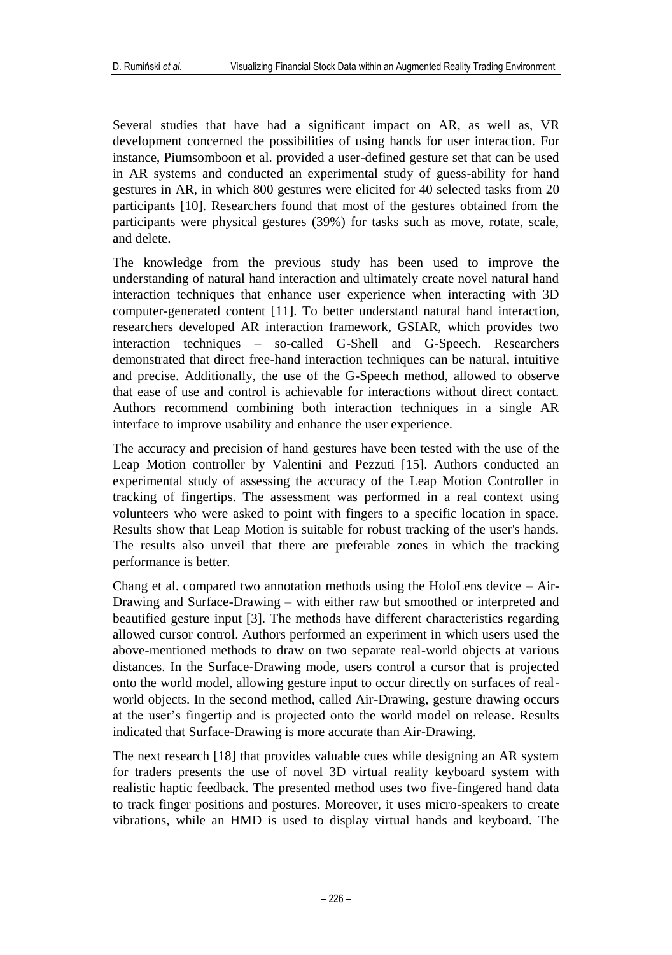Several studies that have had a significant impact on AR, as well as, VR development concerned the possibilities of using hands for user interaction. For instance, Piumsomboon et al. provided a user-defined gesture set that can be used in AR systems and conducted an experimental study of guess-ability for hand gestures in AR, in which 800 gestures were elicited for 40 selected tasks from 20 participants [10]. Researchers found that most of the gestures obtained from the participants were physical gestures (39%) for tasks such as move, rotate, scale, and delete.

The knowledge from the previous study has been used to improve the understanding of natural hand interaction and ultimately create novel natural hand interaction techniques that enhance user experience when interacting with 3D computer-generated content [11]. To better understand natural hand interaction, researchers developed AR interaction framework, GSIAR, which provides two interaction techniques – so-called G-Shell and G-Speech. Researchers demonstrated that direct free-hand interaction techniques can be natural, intuitive and precise. Additionally, the use of the G-Speech method, allowed to observe that ease of use and control is achievable for interactions without direct contact. Authors recommend combining both interaction techniques in a single AR interface to improve usability and enhance the user experience.

The accuracy and precision of hand gestures have been tested with the use of the Leap Motion controller by Valentini and Pezzuti [15]. Authors conducted an experimental study of assessing the accuracy of the Leap Motion Controller in tracking of fingertips. The assessment was performed in a real context using volunteers who were asked to point with fingers to a specific location in space. Results show that Leap Motion is suitable for robust tracking of the user's hands. The results also unveil that there are preferable zones in which the tracking performance is better.

Chang et al. compared two annotation methods using the HoloLens device  $-$  Air-Drawing and Surface-Drawing – with either raw but smoothed or interpreted and beautified gesture input [3]. The methods have different characteristics regarding allowed cursor control. Authors performed an experiment in which users used the above-mentioned methods to draw on two separate real-world objects at various distances. In the Surface-Drawing mode, users control a cursor that is projected onto the world model, allowing gesture input to occur directly on surfaces of realworld objects. In the second method, called Air-Drawing, gesture drawing occurs at the user's fingertip and is projected onto the world model on release. Results indicated that Surface-Drawing is more accurate than Air-Drawing.

The next research [18] that provides valuable cues while designing an AR system for traders presents the use of novel 3D virtual reality keyboard system with realistic haptic feedback. The presented method uses two five-fingered hand data to track finger positions and postures. Moreover, it uses micro-speakers to create vibrations, while an HMD is used to display virtual hands and keyboard. The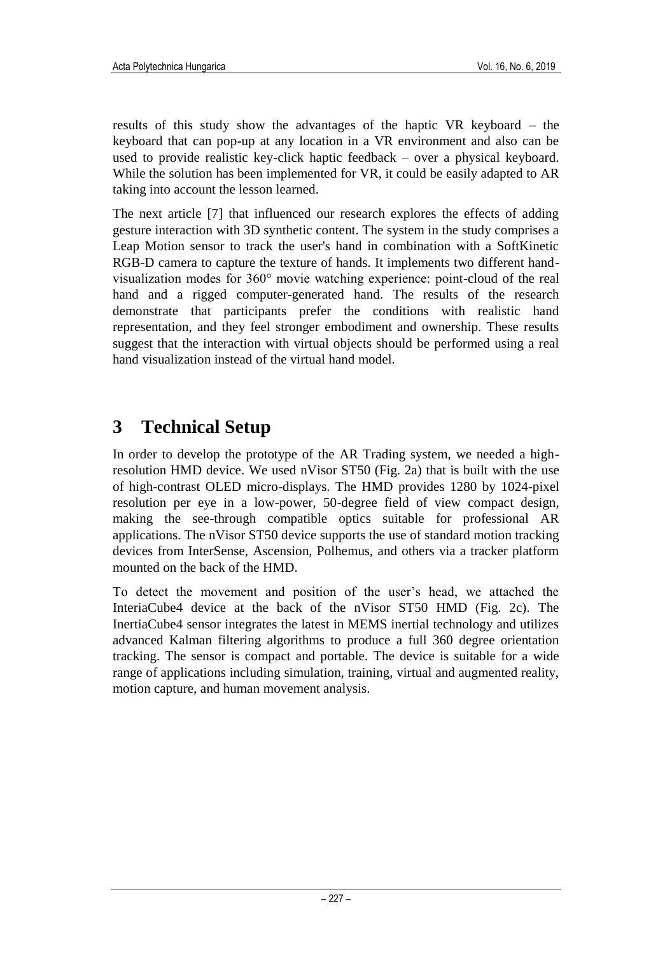results of this study show the advantages of the haptic VR keyboard – the keyboard that can pop-up at any location in a VR environment and also can be used to provide realistic key-click haptic feedback – over a physical keyboard. While the solution has been implemented for VR, it could be easily adapted to AR taking into account the lesson learned.

The next article [7] that influenced our research explores the effects of adding gesture interaction with 3D synthetic content. The system in the study comprises a Leap Motion sensor to track the user's hand in combination with a SoftKinetic RGB-D camera to capture the texture of hands. It implements two different handvisualization modes for 360° movie watching experience: point-cloud of the real hand and a rigged computer-generated hand. The results of the research demonstrate that participants prefer the conditions with realistic hand representation, and they feel stronger embodiment and ownership. These results suggest that the interaction with virtual objects should be performed using a real hand visualization instead of the virtual hand model.

## **3 Technical Setup**

In order to develop the prototype of the AR Trading system, we needed a highresolution HMD device. We used nVisor ST50 (Fig. 2a) that is built with the use of high-contrast OLED micro-displays. The HMD provides 1280 by 1024-pixel resolution per eye in a low-power, 50-degree field of view compact design, making the see-through compatible optics suitable for professional AR applications. The nVisor ST50 device supports the use of standard motion tracking devices from InterSense, Ascension, Polhemus, and others via a tracker platform mounted on the back of the HMD.

To detect the movement and position of the user's head, we attached the InteriaCube4 device at the back of the nVisor ST50 HMD (Fig. 2c). The InertiaCube4 sensor integrates the latest in MEMS inertial technology and utilizes advanced Kalman filtering algorithms to produce a full 360 degree orientation tracking. The sensor is compact and portable. The device is suitable for a wide range of applications including simulation, training, virtual and augmented reality, motion capture, and human movement analysis.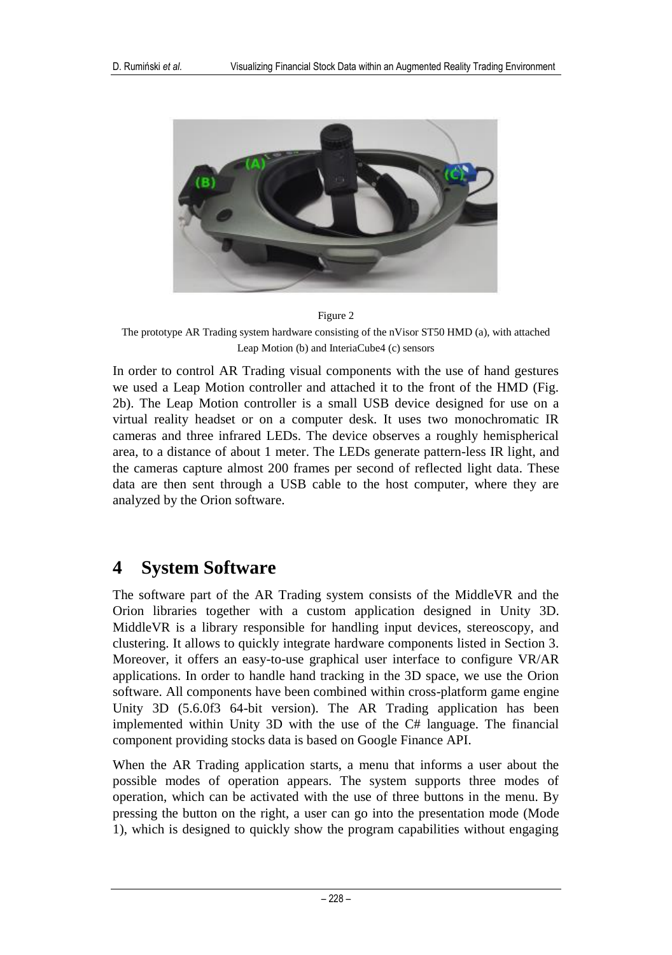

Figure 2

The prototype AR Trading system hardware consisting of the nVisor ST50 HMD (a), with attached Leap Motion (b) and InteriaCube4 (c) sensors

In order to control AR Trading visual components with the use of hand gestures we used a Leap Motion controller and attached it to the front of the HMD (Fig. 2b). The Leap Motion controller is a small USB device designed for use on a virtual reality headset or on a computer desk. It uses two monochromatic IR cameras and three infrared LEDs. The device observes a roughly hemispherical area, to a distance of about 1 meter. The LEDs generate pattern-less IR light, and the cameras capture almost 200 frames per second of reflected light data. These data are then sent through a USB cable to the host computer, where they are analyzed by the Orion software.

### **4 System Software**

The software part of the AR Trading system consists of the MiddleVR and the Orion libraries together with a custom application designed in Unity 3D. MiddleVR is a library responsible for handling input devices, stereoscopy, and clustering. It allows to quickly integrate hardware components listed in Section 3. Moreover, it offers an easy-to-use graphical user interface to configure VR/AR applications. In order to handle hand tracking in the 3D space, we use the Orion software. All components have been combined within cross-platform game engine Unity 3D (5.6.0f3 64-bit version). The AR Trading application has been implemented within Unity 3D with the use of the C# language. The financial component providing stocks data is based on Google Finance API.

When the AR Trading application starts, a menu that informs a user about the possible modes of operation appears. The system supports three modes of operation, which can be activated with the use of three buttons in the menu. By pressing the button on the right, a user can go into the presentation mode (Mode 1), which is designed to quickly show the program capabilities without engaging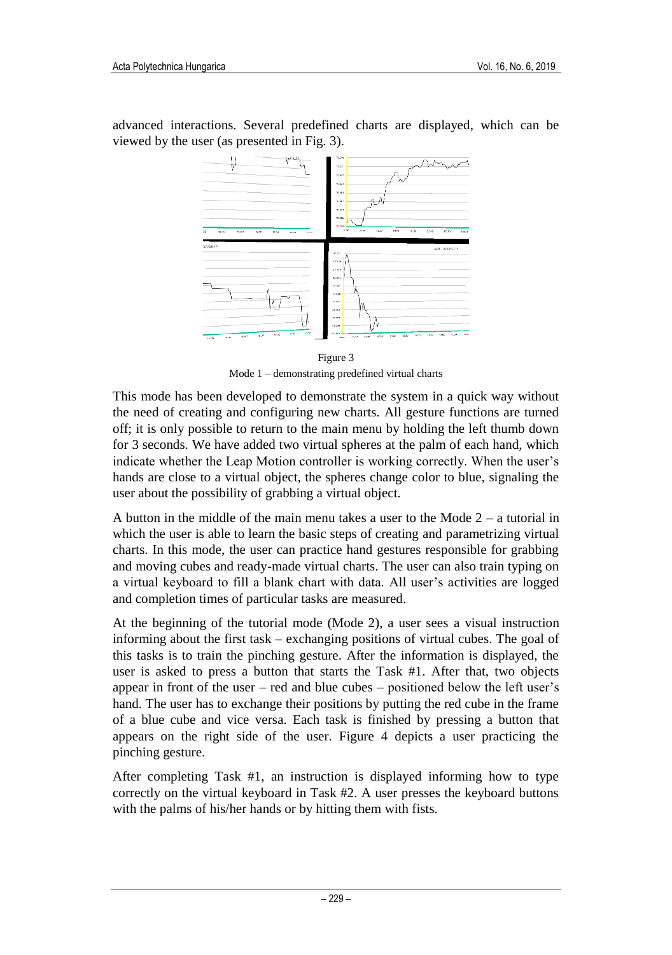advanced interactions. Several predefined charts are displayed, which can be viewed by the user (as presented in Fig. 3).



Figure 3 Mode 1 – demonstrating predefined virtual charts

This mode has been developed to demonstrate the system in a quick way without the need of creating and configuring new charts. All gesture functions are turned off; it is only possible to return to the main menu by holding the left thumb down for 3 seconds. We have added two virtual spheres at the palm of each hand, which indicate whether the Leap Motion controller is working correctly. When the user's hands are close to a virtual object, the spheres change color to blue, signaling the user about the possibility of grabbing a virtual object.

A button in the middle of the main menu takes a user to the Mode 2 – a tutorial in which the user is able to learn the basic steps of creating and parametrizing virtual charts. In this mode, the user can practice hand gestures responsible for grabbing and moving cubes and ready-made virtual charts. The user can also train typing on a virtual keyboard to fill a blank chart with data. All user's activities are logged and completion times of particular tasks are measured.

At the beginning of the tutorial mode (Mode 2), a user sees a visual instruction informing about the first task – exchanging positions of virtual cubes. The goal of this tasks is to train the pinching gesture. After the information is displayed, the user is asked to press a button that starts the Task #1. After that, two objects appear in front of the user – red and blue cubes – positioned below the left user's hand. The user has to exchange their positions by putting the red cube in the frame of a blue cube and vice versa. Each task is finished by pressing a button that appears on the right side of the user. Figure 4 depicts a user practicing the pinching gesture.

After completing Task #1, an instruction is displayed informing how to type correctly on the virtual keyboard in Task #2. A user presses the keyboard buttons with the palms of his/her hands or by hitting them with fists.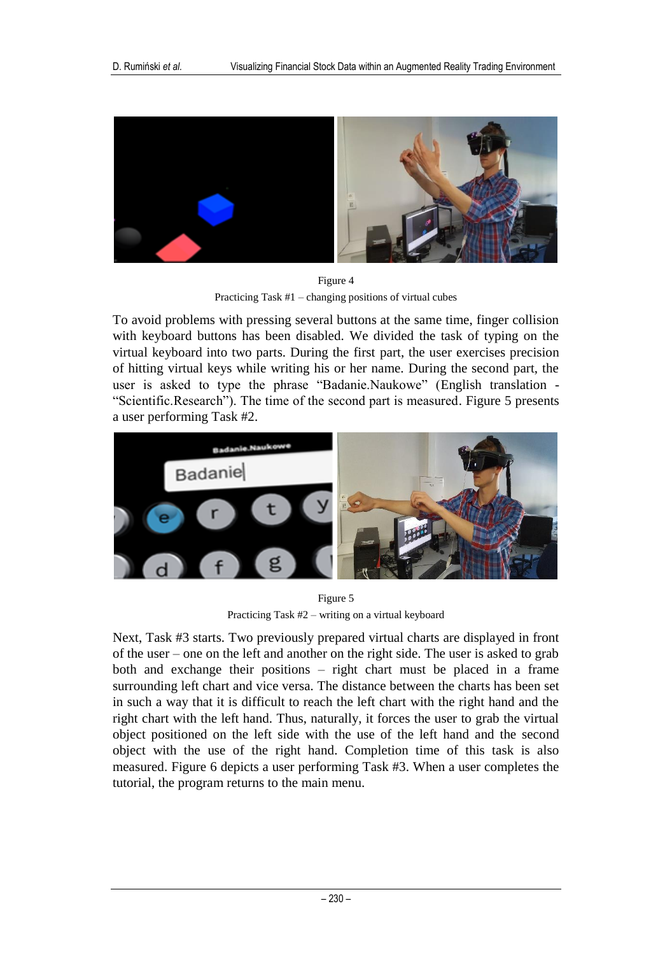

Figure 4 Practicing Task #1 – changing positions of virtual cubes

To avoid problems with pressing several buttons at the same time, finger collision with keyboard buttons has been disabled. We divided the task of typing on the virtual keyboard into two parts. During the first part, the user exercises precision of hitting virtual keys while writing his or her name. During the second part, the user is asked to type the phrase "Badanie.Naukowe" (English translation - "Scientific.Research"). The time of the second part is measured. [Figure 5](#page-7-0) presents a user performing Task #2.



Figure 5 Practicing Task #2 – writing on a virtual keyboard

<span id="page-7-0"></span>Next, Task #3 starts. Two previously prepared virtual charts are displayed in front of the user – one on the left and another on the right side. The user is asked to grab both and exchange their positions – right chart must be placed in a frame surrounding left chart and vice versa. The distance between the charts has been set in such a way that it is difficult to reach the left chart with the right hand and the right chart with the left hand. Thus, naturally, it forces the user to grab the virtual object positioned on the left side with the use of the left hand and the second object with the use of the right hand. Completion time of this task is also measured. [Figure 6](#page-8-0) depicts a user performing Task #3. When a user completes the tutorial, the program returns to the main menu.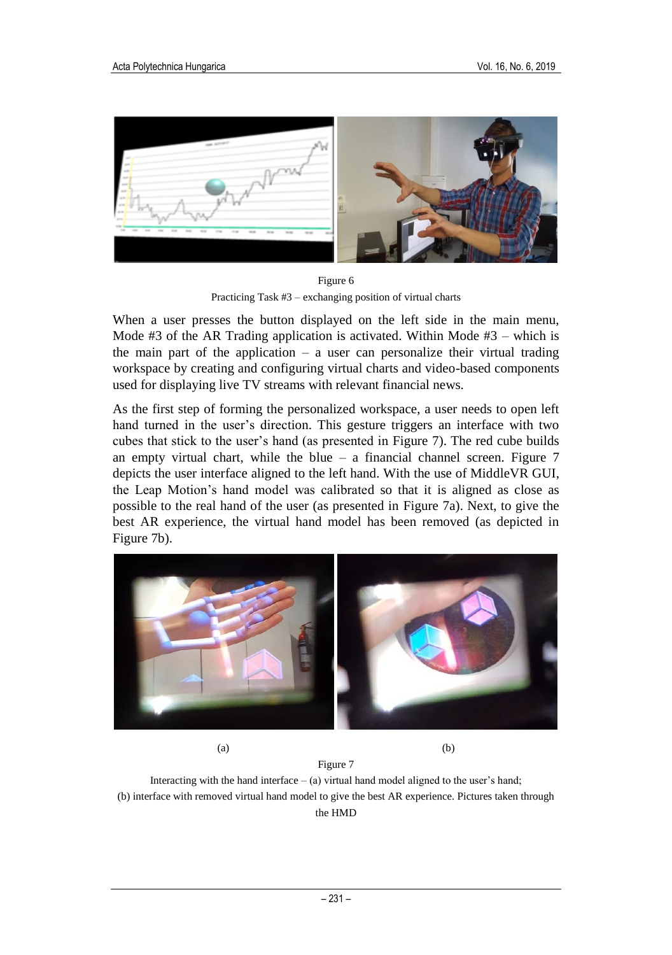

Figure 6 Practicing Task #3 – exchanging position of virtual charts

<span id="page-8-0"></span>When a user presses the button displayed on the left side in the main menu, Mode #3 of the AR Trading application is activated. Within Mode #3 – which is the main part of the application  $-$  a user can personalize their virtual trading workspace by creating and configuring virtual charts and video-based components used for displaying live TV streams with relevant financial news.

As the first step of forming the personalized workspace, a user needs to open left hand turned in the user's direction. This gesture triggers an interface with two cubes that stick to the user's hand (as presented in [Figure 7\)](#page-8-1). The red cube builds an empty virtual chart, while the blue  $-$  a financial channel screen. Figure  $7$ depicts the user interface aligned to the left hand. With the use of MiddleVR GUI, the Leap Motion's hand model was calibrated so that it is aligned as close as possible to the real hand of the user (as presented in [Figure 7a](#page-8-1)). Next, to give the best AR experience, the virtual hand model has been removed (as depicted in [Figure 7b](#page-8-1)).



 $(a)$  (b)

<span id="page-8-1"></span>Figure 7 Interacting with the hand interface  $-$  (a) virtual hand model aligned to the user's hand; (b) interface with removed virtual hand model to give the best AR experience. Pictures taken through the HMD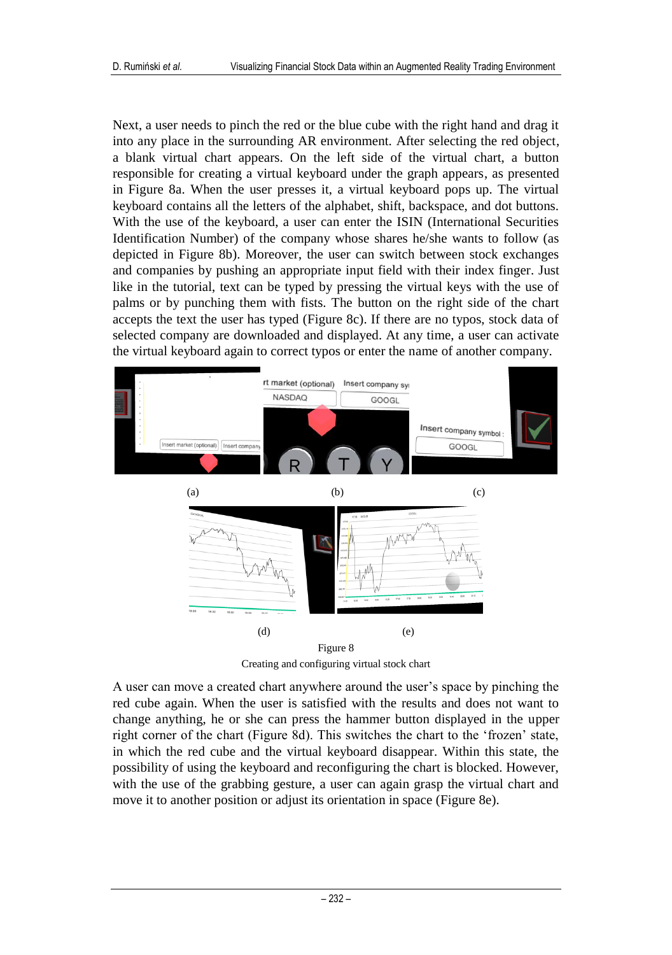Next, a user needs to pinch the red or the blue cube with the right hand and drag it into any place in the surrounding AR environment. After selecting the red object, a blank virtual chart appears. On the left side of the virtual chart, a button responsible for creating a virtual keyboard under the graph appears, as presented in [Figure 8a](#page-9-0). When the user presses it, a virtual keyboard pops up. The virtual keyboard contains all the letters of the alphabet, shift, backspace, and dot buttons. With the use of the keyboard, a user can enter the ISIN (International Securities Identification Number) of the company whose shares he/she wants to follow (as depicted in [Figure 8b](#page-9-0)). Moreover, the user can switch between stock exchanges and companies by pushing an appropriate input field with their index finger. Just like in the tutorial, text can be typed by pressing the virtual keys with the use of palms or by punching them with fists. The button on the right side of the chart accepts the text the user has typed (Figure 8c). If there are no typos, stock data of selected company are downloaded and displayed. At any time, a user can activate the virtual keyboard again to correct typos or enter the name of another company.



Creating and configuring virtual stock chart

<span id="page-9-0"></span>A user can move a created chart anywhere around the user's space by pinching the red cube again. When the user is satisfied with the results and does not want to change anything, he or she can press the hammer button displayed in the upper right corner of the chart (Figure 8d). This switches the chart to the 'frozen' state, in which the red cube and the virtual keyboard disappear. Within this state, the possibility of using the keyboard and reconfiguring the chart is blocked. However, with the use of the grabbing gesture, a user can again grasp the virtual chart and move it to another position or adjust its orientation in space (Figure 8e).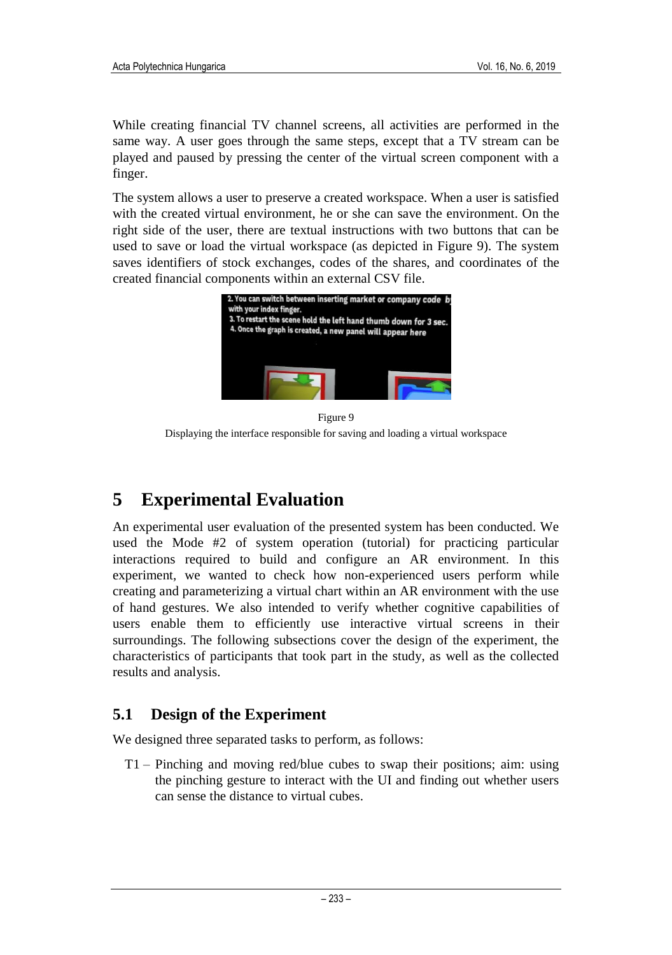While creating financial TV channel screens, all activities are performed in the same way. A user goes through the same steps, except that a TV stream can be played and paused by pressing the center of the virtual screen component with a finger.

The system allows a user to preserve a created workspace. When a user is satisfied with the created virtual environment, he or she can save the environment. On the right side of the user, there are textual instructions with two buttons that can be used to save or load the virtual workspace (as depicted in Figure 9). The system saves identifiers of stock exchanges, codes of the shares, and coordinates of the created financial components within an external CSV file.



Figure 9 Displaying the interface responsible for saving and loading a virtual workspace

## **5 Experimental Evaluation**

An experimental user evaluation of the presented system has been conducted. We used the Mode #2 of system operation (tutorial) for practicing particular interactions required to build and configure an AR environment. In this experiment, we wanted to check how non-experienced users perform while creating and parameterizing a virtual chart within an AR environment with the use of hand gestures. We also intended to verify whether cognitive capabilities of users enable them to efficiently use interactive virtual screens in their surroundings. The following subsections cover the design of the experiment, the characteristics of participants that took part in the study, as well as the collected results and analysis.

### **5.1 Design of the Experiment**

We designed three separated tasks to perform, as follows:

T1 – Pinching and moving red/blue cubes to swap their positions; aim: using the pinching gesture to interact with the UI and finding out whether users can sense the distance to virtual cubes.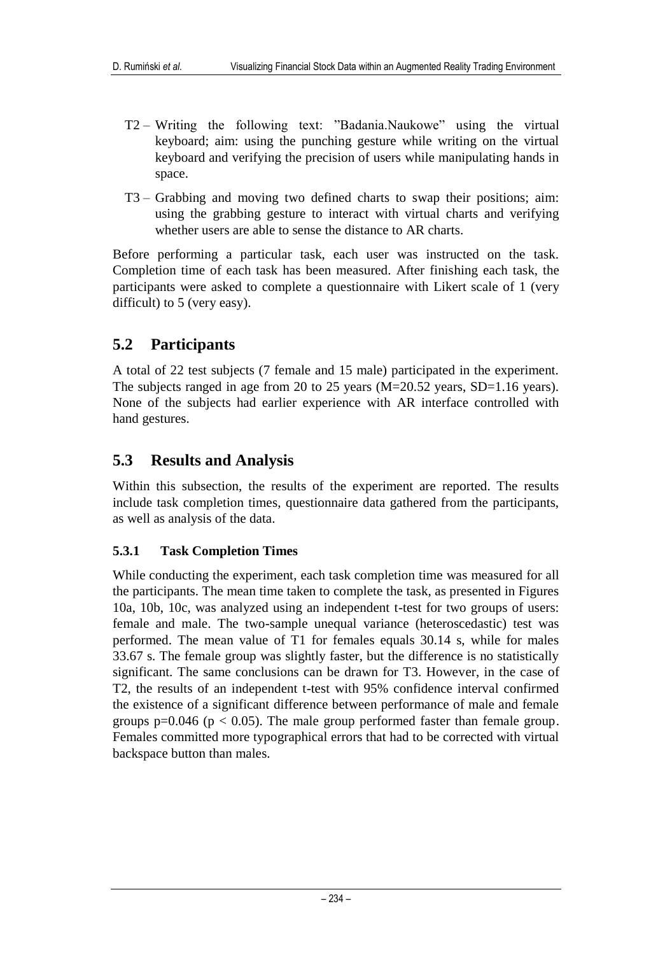- T2 Writing the following text: "Badania.Naukowe" using the virtual keyboard; aim: using the punching gesture while writing on the virtual keyboard and verifying the precision of users while manipulating hands in space.
- T3 Grabbing and moving two defined charts to swap their positions; aim: using the grabbing gesture to interact with virtual charts and verifying whether users are able to sense the distance to AR charts.

Before performing a particular task, each user was instructed on the task. Completion time of each task has been measured. After finishing each task, the participants were asked to complete a questionnaire with Likert scale of 1 (very difficult) to 5 (very easy).

### **5.2 Participants**

A total of 22 test subjects (7 female and 15 male) participated in the experiment. The subjects ranged in age from 20 to 25 years (M=20.52 years, SD=1.16 years). None of the subjects had earlier experience with AR interface controlled with hand gestures.

### **5.3 Results and Analysis**

Within this subsection, the results of the experiment are reported. The results include task completion times, questionnaire data gathered from the participants, as well as analysis of the data.

#### **5.3.1 Task Completion Times**

While conducting the experiment, each task completion time was measured for all the participants. The mean time taken to complete the task, as presented in Figures 10a, 10b, 10c, was analyzed using an independent t-test for two groups of users: female and male. The two-sample unequal variance (heteroscedastic) test was performed. The mean value of T1 for females equals 30.14 s, while for males 33.67 s. The female group was slightly faster, but the difference is no statistically significant. The same conclusions can be drawn for T3. However, in the case of T2, the results of an independent t-test with 95% confidence interval confirmed the existence of a significant difference between performance of male and female groups  $p=0.046$  ( $p < 0.05$ ). The male group performed faster than female group. Females committed more typographical errors that had to be corrected with virtual backspace button than males.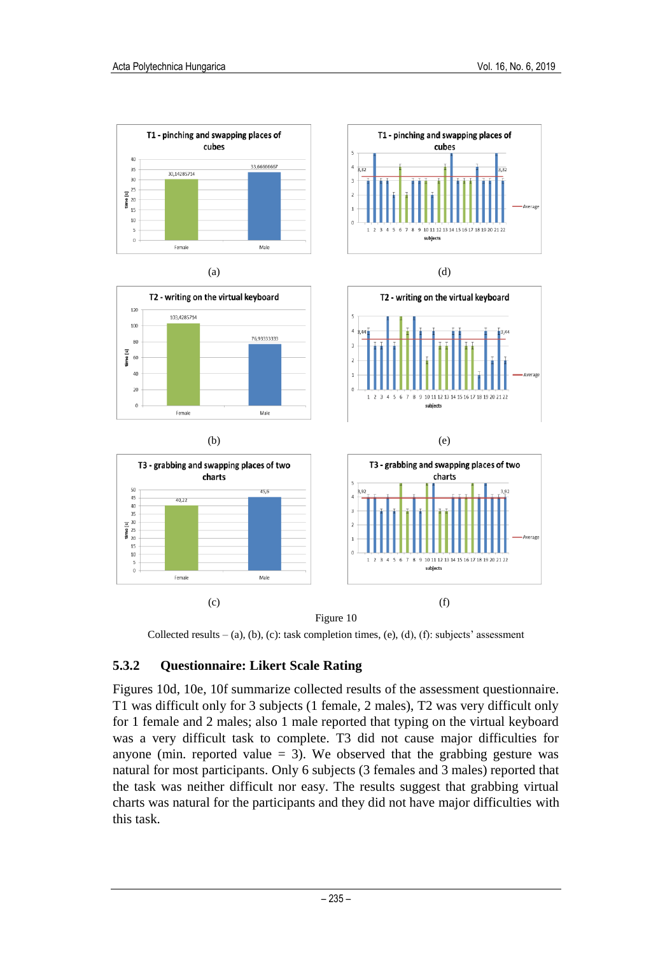

Figure 10



#### **5.3.2 Questionnaire: Likert Scale Rating**

Figures 10d, 10e, 10f summarize collected results of the assessment questionnaire. T1 was difficult only for 3 subjects (1 female, 2 males), T2 was very difficult only for 1 female and 2 males; also 1 male reported that typing on the virtual keyboard was a very difficult task to complete. T3 did not cause major difficulties for anyone (min. reported value  $= 3$ ). We observed that the grabbing gesture was natural for most participants. Only 6 subjects (3 females and 3 males) reported that the task was neither difficult nor easy. The results suggest that grabbing virtual charts was natural for the participants and they did not have major difficulties with this task.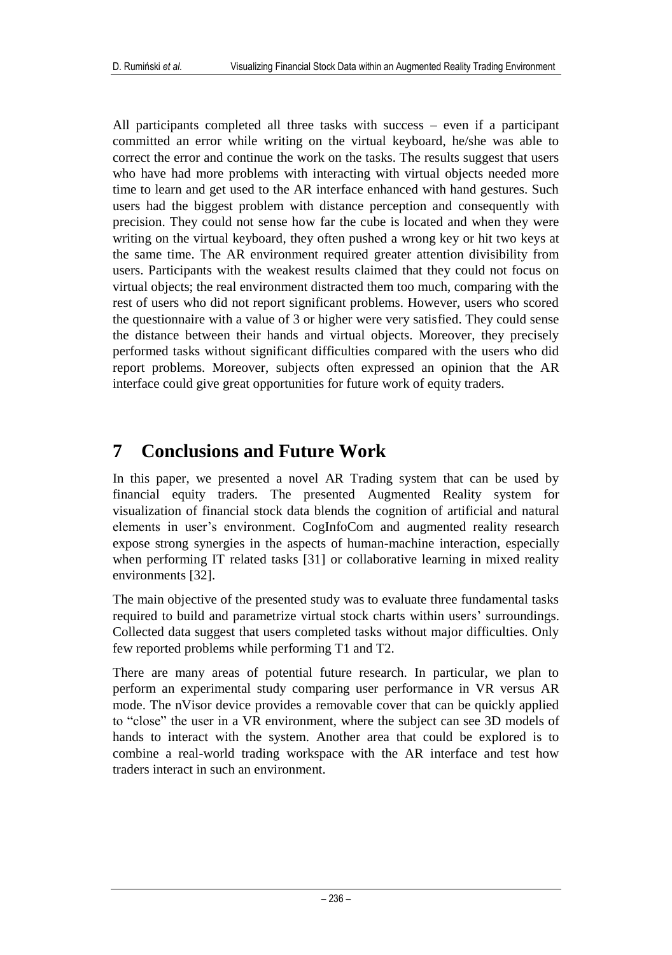All participants completed all three tasks with success – even if a participant committed an error while writing on the virtual keyboard, he/she was able to correct the error and continue the work on the tasks. The results suggest that users who have had more problems with interacting with virtual objects needed more time to learn and get used to the AR interface enhanced with hand gestures. Such users had the biggest problem with distance perception and consequently with precision. They could not sense how far the cube is located and when they were writing on the virtual keyboard, they often pushed a wrong key or hit two keys at the same time. The AR environment required greater attention divisibility from users. Participants with the weakest results claimed that they could not focus on virtual objects; the real environment distracted them too much, comparing with the rest of users who did not report significant problems. However, users who scored the questionnaire with a value of 3 or higher were very satisfied. They could sense the distance between their hands and virtual objects. Moreover, they precisely performed tasks without significant difficulties compared with the users who did report problems. Moreover, subjects often expressed an opinion that the AR interface could give great opportunities for future work of equity traders.

## **7 Conclusions and Future Work**

In this paper, we presented a novel AR Trading system that can be used by financial equity traders. The presented Augmented Reality system for visualization of financial stock data blends the cognition of artificial and natural elements in user's environment. CogInfoCom and augmented reality research expose strong synergies in the aspects of human-machine interaction, especially when performing IT related tasks [31] or collaborative learning in mixed reality environments [32].

The main objective of the presented study was to evaluate three fundamental tasks required to build and parametrize virtual stock charts within users' surroundings. Collected data suggest that users completed tasks without major difficulties. Only few reported problems while performing T1 and T2.

There are many areas of potential future research. In particular, we plan to perform an experimental study comparing user performance in VR versus AR mode. The nVisor device provides a removable cover that can be quickly applied to "close" the user in a VR environment, where the subject can see 3D models of hands to interact with the system. Another area that could be explored is to combine a real-world trading workspace with the AR interface and test how traders interact in such an environment.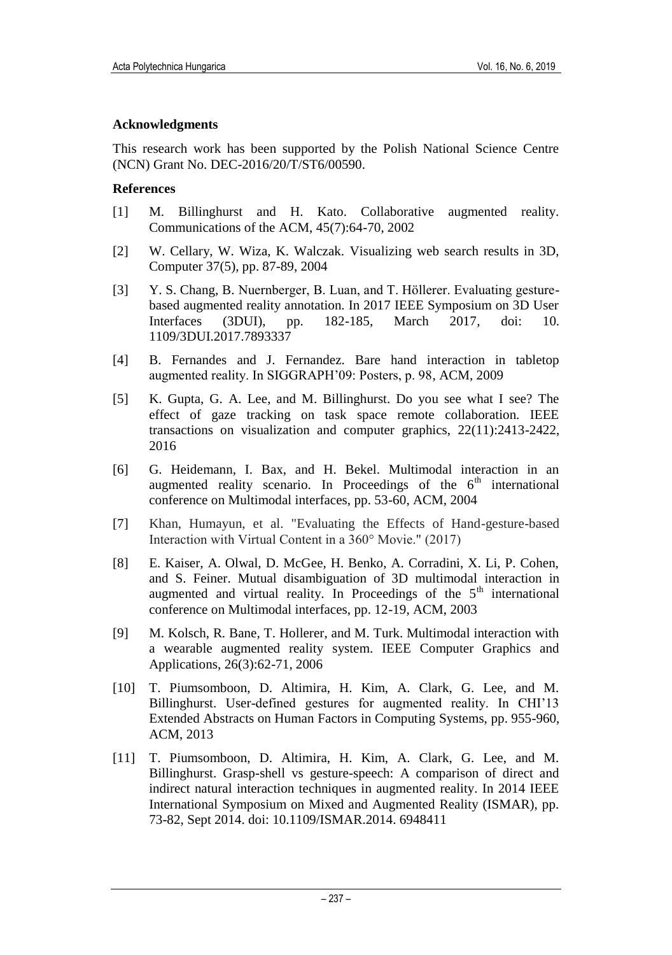#### **Acknowledgments**

This research work has been supported by the Polish National Science Centre (NCN) Grant No. DEC-2016/20/T/ST6/00590.

#### **References**

- [1] M. Billinghurst and H. Kato. Collaborative augmented reality. Communications of the ACM, 45(7):64-70, 2002
- [2] W. Cellary, W. Wiza, K. Walczak. Visualizing web search results in 3D, Computer 37(5), pp. 87-89, 2004
- [3] Y. S. Chang, B. Nuernberger, B. Luan, and T. Höllerer. Evaluating gesturebased augmented reality annotation. In 2017 IEEE Symposium on 3D User Interfaces (3DUI), pp. 182-185, March 2017, doi: 10. 1109/3DUI.2017.7893337
- [4] B. Fernandes and J. Fernandez. Bare hand interaction in tabletop augmented reality. In SIGGRAPH'09: Posters, p. 98, ACM, 2009
- [5] K. Gupta, G. A. Lee, and M. Billinghurst. Do you see what I see? The effect of gaze tracking on task space remote collaboration. IEEE transactions on visualization and computer graphics, 22(11):2413-2422, 2016
- [6] G. Heidemann, I. Bax, and H. Bekel. Multimodal interaction in an augmented reality scenario. In Proceedings of the  $6<sup>th</sup>$  international conference on Multimodal interfaces, pp. 53-60, ACM, 2004
- [7] Khan, Humayun, et al. "Evaluating the Effects of Hand-gesture-based Interaction with Virtual Content in a 360° Movie." (2017)
- [8] E. Kaiser, A. Olwal, D. McGee, H. Benko, A. Corradini, X. Li, P. Cohen, and S. Feiner. Mutual disambiguation of 3D multimodal interaction in augmented and virtual reality. In Proceedings of the  $5<sup>th</sup>$  international conference on Multimodal interfaces, pp. 12-19, ACM, 2003
- [9] M. Kolsch, R. Bane, T. Hollerer, and M. Turk. Multimodal interaction with a wearable augmented reality system. IEEE Computer Graphics and Applications, 26(3):62-71, 2006
- [10] T. Piumsomboon, D. Altimira, H. Kim, A. Clark, G. Lee, and M. Billinghurst. User-defined gestures for augmented reality. In CHI'13 Extended Abstracts on Human Factors in Computing Systems, pp. 955-960, ACM, 2013
- [11] T. Piumsomboon, D. Altimira, H. Kim, A. Clark, G. Lee, and M. Billinghurst. Grasp-shell vs gesture-speech: A comparison of direct and indirect natural interaction techniques in augmented reality. In 2014 IEEE International Symposium on Mixed and Augmented Reality (ISMAR), pp. 73-82, Sept 2014. doi: 10.1109/ISMAR.2014. 6948411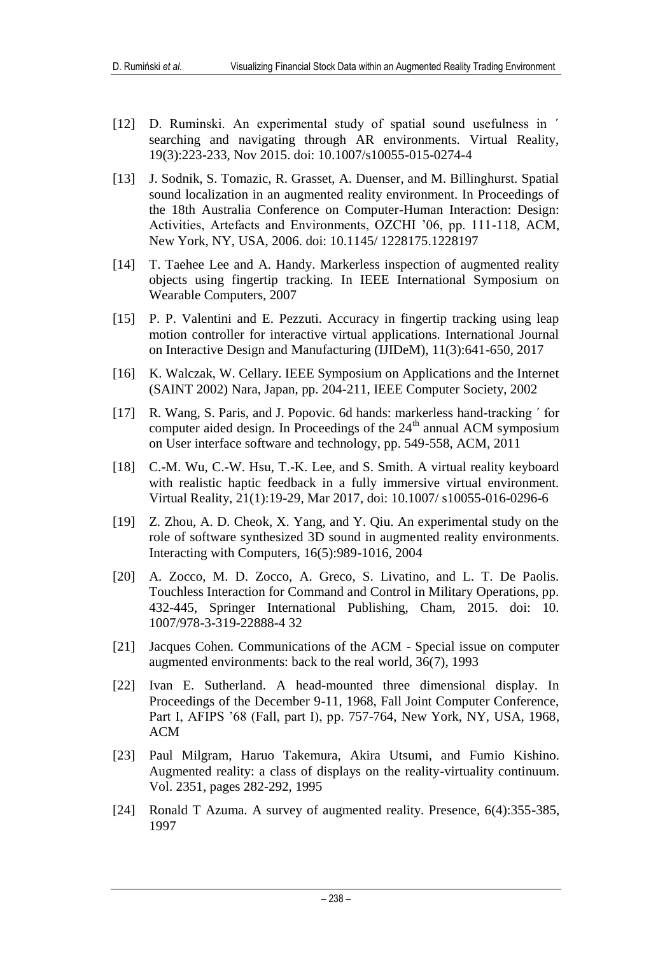- [12] D. Ruminski. An experimental study of spatial sound usefulness in  $\check{ }$ searching and navigating through AR environments. Virtual Reality, 19(3):223-233, Nov 2015. doi: 10.1007/s10055-015-0274-4
- [13] J. Sodnik, S. Tomazic, R. Grasset, A. Duenser, and M. Billinghurst. Spatial sound localization in an augmented reality environment. In Proceedings of the 18th Australia Conference on Computer-Human Interaction: Design: Activities, Artefacts and Environments, OZCHI '06, pp. 111-118, ACM, New York, NY, USA, 2006. doi: 10.1145/ 1228175.1228197
- [14] T. Taehee Lee and A. Handy. Markerless inspection of augmented reality objects using fingertip tracking. In IEEE International Symposium on Wearable Computers, 2007
- [15] P. P. Valentini and E. Pezzuti. Accuracy in fingertip tracking using leap motion controller for interactive virtual applications. International Journal on Interactive Design and Manufacturing (IJIDeM), 11(3):641-650, 2017
- [16] K. Walczak, W. Cellary. IEEE Symposium on Applications and the Internet (SAINT 2002) Nara, Japan, pp. 204-211, IEEE Computer Society, 2002
- [17] R. Wang, S. Paris, and J. Popovic. 6d hands: markerless hand-tracking  $\prime$  for computer aided design. In Proceedings of the  $24<sup>th</sup>$  annual ACM symposium on User interface software and technology, pp. 549-558, ACM, 2011
- [18] C.-M. Wu, C.-W. Hsu, T.-K. Lee, and S. Smith. A virtual reality keyboard with realistic haptic feedback in a fully immersive virtual environment. Virtual Reality, 21(1):19-29, Mar 2017, doi: 10.1007/ s10055-016-0296-6
- [19] Z. Zhou, A. D. Cheok, X. Yang, and Y. Qiu. An experimental study on the role of software synthesized 3D sound in augmented reality environments. Interacting with Computers, 16(5):989-1016, 2004
- [20] A. Zocco, M. D. Zocco, A. Greco, S. Livatino, and L. T. De Paolis. Touchless Interaction for Command and Control in Military Operations, pp. 432-445, Springer International Publishing, Cham, 2015. doi: 10. 1007/978-3-319-22888-4 32
- [21] Jacques Cohen. Communications of the ACM Special issue on computer augmented environments: back to the real world, 36(7), 1993
- [22] Ivan E. Sutherland. A head-mounted three dimensional display. In Proceedings of the December 9-11, 1968, Fall Joint Computer Conference, Part I, AFIPS '68 (Fall, part I), pp. 757-764, New York, NY, USA, 1968, ACM
- [23] Paul Milgram, Haruo Takemura, Akira Utsumi, and Fumio Kishino. Augmented reality: a class of displays on the reality-virtuality continuum. Vol. 2351, pages 282-292, 1995
- [24] Ronald T Azuma. A survey of augmented reality. Presence, 6(4):355-385, 1997